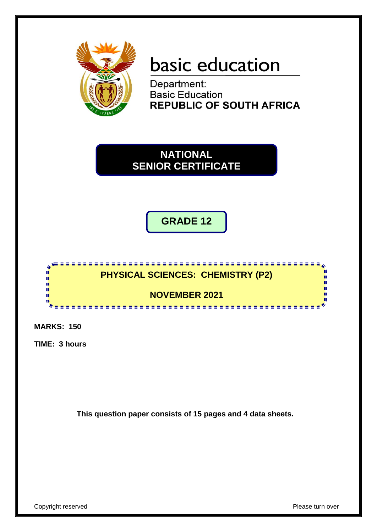

# basic education

Department: **Basic Education REPUBLIC OF SOUTH AFRICA** 

**NATIONAL SENIOR CERTIFICATE**

**GRADE 12**



**MARKS: 150**

**TIME: 3 hours**

**This question paper consists of 15 pages and 4 data sheets.**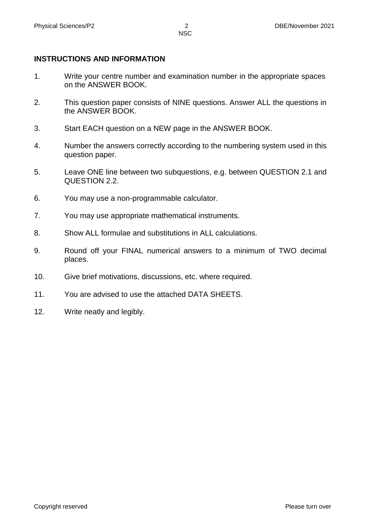#### **INSTRUCTIONS AND INFORMATION**

- 1. Write your centre number and examination number in the appropriate spaces on the ANSWER BOOK.
- 2. This question paper consists of NINE questions. Answer ALL the questions in the ANSWER BOOK.
- 3. Start EACH question on a NEW page in the ANSWER BOOK.
- 4. Number the answers correctly according to the numbering system used in this question paper.
- 5. Leave ONE line between two subquestions, e.g. between QUESTION 2.1 and QUESTION 2.2.
- 6. You may use a non-programmable calculator.
- 7. You may use appropriate mathematical instruments.
- 8. Show ALL formulae and substitutions in ALL calculations.
- 9. Round off your FINAL numerical answers to a minimum of TWO decimal places.
- 10. Give brief motivations, discussions, etc. where required.
- 11. You are advised to use the attached DATA SHEETS.
- 12. Write neatly and legibly.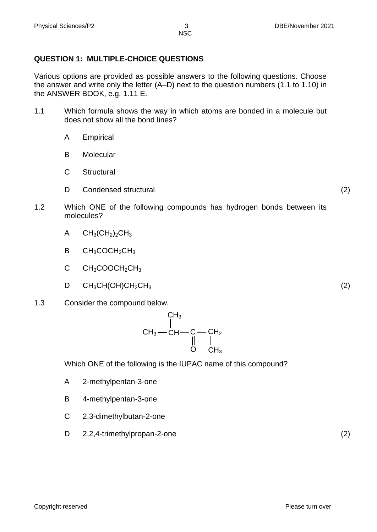# **QUESTION 1: MULTIPLE-CHOICE QUESTIONS**

Various options are provided as possible answers to the following questions. Choose the answer and write only the letter (A–D) next to the question numbers (1.1 to 1.10) in the ANSWER BOOK, e.g. 1.11 E.

- 1.1 Which formula shows the way in which atoms are bonded in a molecule but does not show all the bond lines?
	- A Empirical
	- B **Molecular**
	- $\mathcal{C}$ **Structural**
	- D Condensed structural (2)
- 1.2 Which ONE of the following compounds has hydrogen bonds between its molecules?
	- A  $CH<sub>3</sub>(CH<sub>2</sub>)<sub>2</sub>CH<sub>3</sub>$
	- B  $CH<sub>3</sub>COCH<sub>2</sub>CH<sub>3</sub>$
	- $\mathcal{C}$  $CH<sub>3</sub>COOCH<sub>2</sub>CH<sub>3</sub>$
	- D  $CH<sub>3</sub>CH(OH)CH<sub>2</sub>CH<sub>3</sub>$  (2)
- 1.3 Consider the compound below.



Which ONE of the following is the IUPAC name of this compound?

- A 2-methylpentan-3-one
- B 4-methylpentan-3-one
- C 2,3-dimethylbutan-2-one
- D 2,2,4-trimethylpropan-2-one (2)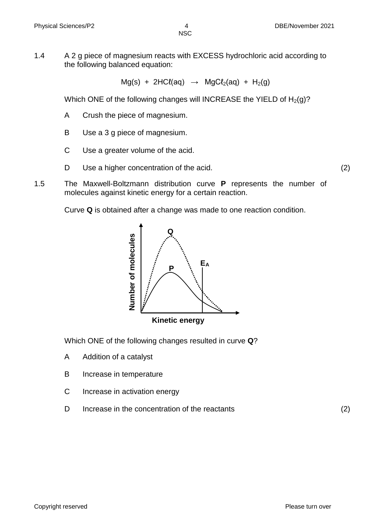1.4 A 2 g piece of magnesium reacts with EXCESS hydrochloric acid according to the following balanced equation:

 $Mg(s)$  + 2HC $l(aq)$   $\rightarrow$   $MgCl<sub>2</sub>(aq)$  + H<sub>2</sub>(g)

Which ONE of the following changes will INCREASE the YIELD of  $H_2(g)$ ?

- A Crush the piece of magnesium.
- B Use a 3 g piece of magnesium.
- C Use a greater volume of the acid.
- D Use a higher concentration of the acid. (2)
- 1.5 The Maxwell-Boltzmann distribution curve **P** represents the number of molecules against kinetic energy for a certain reaction.

Curve **Q** is obtained after a change was made to one reaction condition.



Which ONE of the following changes resulted in curve **Q**?

- A Addition of a catalyst
- B Increase in temperature
- C Increase in activation energy
- D Increase in the concentration of the reactants (2)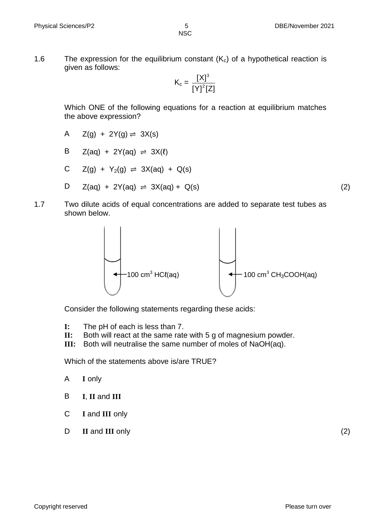1.6 The expression for the equilibrium constant  $(K_c)$  of a hypothetical reaction is given as follows:

$$
K_c = \frac{[X]^3}{[Y]^2 [Z]}
$$

Which ONE of the following equations for a reaction at equilibrium matches the above expression?

A  $Z(g) + 2Y(g) \rightleftharpoons 3X(s)$ 

$$
B \quad Z(aq) + 2Y(aq) \rightleftharpoons 3X(\ell)
$$

$$
C \quad Z(g) + Y_2(g) \rightleftharpoons 3X(aq) + Q(s)
$$

$$
D \quad Z(aq) + 2Y(aq) \rightleftharpoons 3X(aq) + Q(s) \tag{2}
$$

1.7 Two dilute acids of equal concentrations are added to separate test tubes as shown below.



Consider the following statements regarding these acids:

- **I:** The pH of each is less than 7.
- **II:** Both will react at the same rate with 5 g of magnesium powder.
- **III:** Both will neutralise the same number of moles of NaOH(aq).

Which of the statements above is/are TRUE?

- A **I** only
- B **I**, **II** and **III**
- C **I** and **III** only
- D **II** and **III** only (2)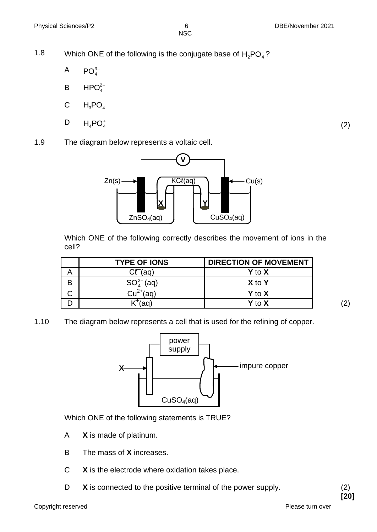1.8 Which ONE of the following is the conjugate base of  $H_2PO_4^-$ ?

- A  $PO<sub>4</sub><sup>3-</sup>$
- B  $HPO<sub>4</sub><sup>2-</sup>$
- C  $H_3PO_4$
- D  $H_4PO_4^+$

(2)

1.9 The diagram below represents a voltaic cell.



Which ONE of the following correctly describes the movement of ions in the cell?

|   | <b>TYPE OF IONS</b> | <b>DIRECTION OF MOVEMENT</b> |
|---|---------------------|------------------------------|
| Α | $C\ell^-(aq)$       | $Y$ to $X$                   |
| B | $SO_{4}^{2-}$ (aq)  | X to Y                       |
|   | $2^{+}$ (ag)        | Y to X                       |
|   | (2a)                | <b>Y</b> to $X$              |

(2)

1.10 The diagram below represents a cell that is used for the refining of copper.



Which ONE of the following statements is TRUE?

- A **X** is made of platinum.
- B The mass of **X** increases.
- C **X** is the electrode where oxidation takes place.
- D **X** is connected to the positive terminal of the power supply. (2)

**[20]**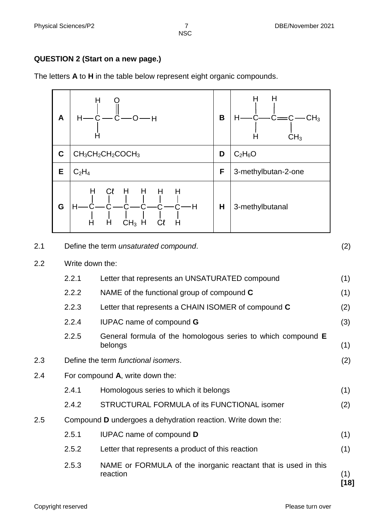## **QUESTION 2 (Start on a new page.)**

The letters **A** to **H** in the table below represent eight organic compounds.



| 2.1 | Define the term unsaturated compound. |  |
|-----|---------------------------------------|--|
|     |                                       |  |

#### 2.2 Write down the:

2.2.1 Letter that represents an UNSATURATED compound (1) 2.2.2 NAME of the functional group of compound **C** (1) 2.2.3 Letter that represents a CHAIN ISOMER of compound **C** (2) 2.2.4 IUPAC name of compound **G** (3) 2.2.5 General formula of the homologous series to which compound **E** belongs (1) 2.3 Define the term *functional isomers*. (2) 2.4 For compound **A**, write down the: 2.4.1 Homologous series to which it belongs (1) 2.4.2 STRUCTURAL FORMULA of its FUNCTIONAL isomer (2) 2.5 Compound **D** undergoes a dehydration reaction. Write down the: 2.5.1 IUPAC name of compound **D** (1) 2.5.2 Letter that represents a product of this reaction (1) 2.5.3 NAME or FORMULA of the inorganic reactant that is used in this reaction (1)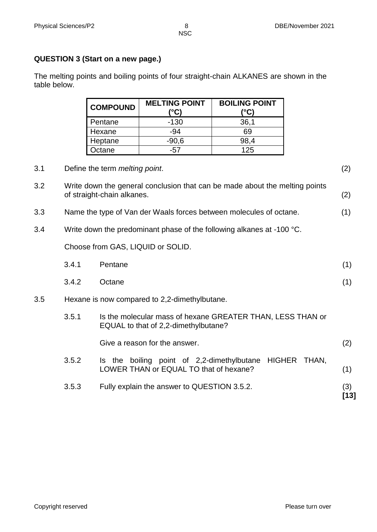## **QUESTION 3 (Start on a new page.)**

|     |                                                                       | <b>COMPOUND</b>                | <b>MELTING POINT</b><br>$(^{\circ}C)$                                                              | <b>BOILING POINT</b><br>$(^{\circ}C)$ |              |               |
|-----|-----------------------------------------------------------------------|--------------------------------|----------------------------------------------------------------------------------------------------|---------------------------------------|--------------|---------------|
|     |                                                                       | Pentane                        | $-130$                                                                                             | 36,1                                  |              |               |
|     |                                                                       | Hexane                         | $-94$                                                                                              | 69                                    |              |               |
|     |                                                                       | Heptane                        | $-90,6$                                                                                            | 98,4                                  |              |               |
|     |                                                                       | Octane                         | $-57$                                                                                              | 125                                   |              |               |
| 3.1 |                                                                       | Define the term melting point. |                                                                                                    |                                       |              | (2)           |
| 3.2 |                                                                       | of straight-chain alkanes.     | Write down the general conclusion that can be made about the melting points                        |                                       |              | (2)           |
| 3.3 |                                                                       |                                | Name the type of Van der Waals forces between molecules of octane.                                 |                                       |              | (1)           |
| 3.4 | Write down the predominant phase of the following alkanes at -100 °C. |                                |                                                                                                    |                                       |              |               |
|     |                                                                       |                                | Choose from GAS, LIQUID or SOLID.                                                                  |                                       |              |               |
|     | 3.4.1                                                                 | Pentane                        |                                                                                                    |                                       |              | (1)           |
|     | 3.4.2                                                                 | Octane                         |                                                                                                    |                                       |              | (1)           |
| 3.5 |                                                                       |                                | Hexane is now compared to 2,2-dimethylbutane.                                                      |                                       |              |               |
|     | 3.5.1                                                                 |                                | Is the molecular mass of hexane GREATER THAN, LESS THAN or<br>EQUAL to that of 2,2-dimethylbutane? |                                       |              |               |
|     |                                                                       |                                | Give a reason for the answer.                                                                      |                                       |              | (2)           |
|     | 3.5.2                                                                 |                                | Is the boiling point of 2,2-dimethylbutane<br>LOWER THAN or EQUAL TO that of hexane?               |                                       | HIGHER THAN, | (1)           |
|     | 3.5.3                                                                 |                                | Fully explain the answer to QUESTION 3.5.2.                                                        |                                       |              | (3)<br>$[13]$ |

The melting points and boiling points of four straight-chain ALKANES are shown in the table below.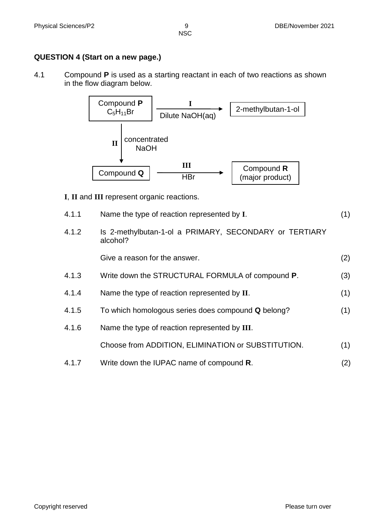## **QUESTION 4 (Start on a new page.)**

4.1 Compound **P** is used as a starting reactant in each of two reactions as shown in the flow diagram below.



- **I**, **II** and **III** represent organic reactions.
- 4.1.1 Name the type of reaction represented by **I**. (1)
- 4.1.2 Is 2-methylbutan-1-ol a PRIMARY, SECONDARY or TERTIARY alcohol?

Give a reason for the answer. (2)

- 4.1.3 Write down the STRUCTURAL FORMULA of compound **P**. (3)
- 4.1.4 Name the type of reaction represented by **II**. (1)
- 4.1.5 To which homologous series does compound **Q** belong? (1)
- 4.1.6 Name the type of reaction represented by **III**.

Choose from ADDITION, ELIMINATION or SUBSTITUTION. (1)

4.1.7 Write down the IUPAC name of compound **R**. (2)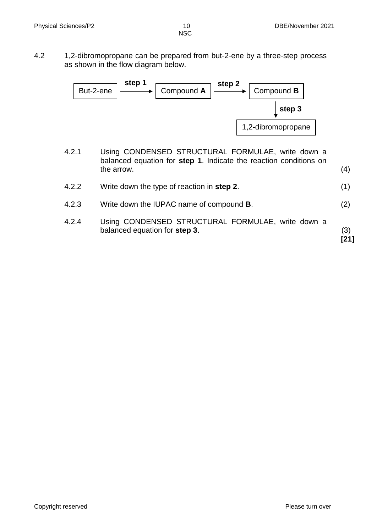4.2 1,2-dibromopropane can be prepared from but-2-ene by a three-step process as shown in the flow diagram below.



- 4.2.1 Using CONDENSED STRUCTURAL FORMULAE, write down a balanced equation for **step 1**. Indicate the reaction conditions on the arrow.  $(4)$
- 4.2.2 Write down the type of reaction in **step 2**. (1)
- 4.2.3 Write down the IUPAC name of compound **B**. (2)
- 4.2.4 Using CONDENSED STRUCTURAL FORMULAE, write down a balanced equation for **step 3**. (3)

**[21]**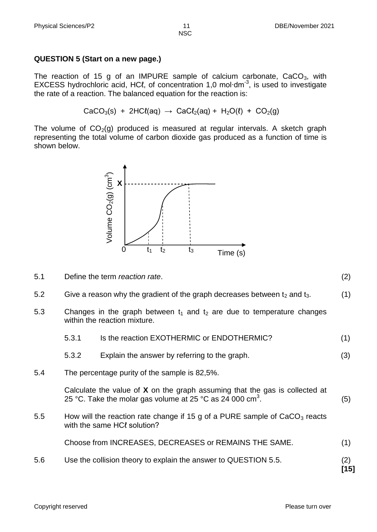#### **QUESTION 5 (Start on a new page.)**

The reaction of 15 g of an IMPURE sample of calcium carbonate,  $CaCO<sub>3</sub>$ , with EXCESS hydrochloric acid, HCℓ, of concentration 1,0 mol⋅dm<sup>-3</sup>, is used to investigate the rate of a reaction. The balanced equation for the reaction is:

 $CaCO<sub>3</sub>(s) + 2HCl(aq) \rightarrow CaCl<sub>2</sub>(aq) + H<sub>2</sub>O(l) + CO<sub>2</sub>(q)$ 

The volume of  $CO<sub>2</sub>(q)$  produced is measured at regular intervals. A sketch graph representing the total volume of carbon dioxide gas produced as a function of time is shown below.



5.1 Define the term *reaction rate*. (2)

5.2 Give a reason why the gradient of the graph decreases between  $t_2$  and  $t_3$ .  $(1)$ 

5.3 Changes in the graph between  $t_1$  and  $t_2$  are due to temperature changes within the reaction mixture.

| 5.6     |                                                                                                             | Use the collision theory to explain the answer to QUESTION 5.5.                                                                                        | (2)<br>[15] |
|---------|-------------------------------------------------------------------------------------------------------------|--------------------------------------------------------------------------------------------------------------------------------------------------------|-------------|
|         |                                                                                                             | Choose from INCREASES, DECREASES or REMAINS THE SAME.                                                                                                  | (1)         |
| $5.5\,$ | How will the reaction rate change if 15 g of a PURE sample of $CaCO3$ reacts<br>with the same HCl solution? |                                                                                                                                                        |             |
|         |                                                                                                             | Calculate the value of $X$ on the graph assuming that the gas is collected at<br>25 °C. Take the molar gas volume at 25 °C as 24 000 cm <sup>3</sup> . | (5)         |
| 5.4     |                                                                                                             | The percentage purity of the sample is 82,5%.                                                                                                          |             |
|         | 5.3.2                                                                                                       | Explain the answer by referring to the graph.                                                                                                          | (3)         |
|         | 5.3.1                                                                                                       | Is the reaction EXOTHERMIC or ENDOTHERMIC?                                                                                                             | (1)         |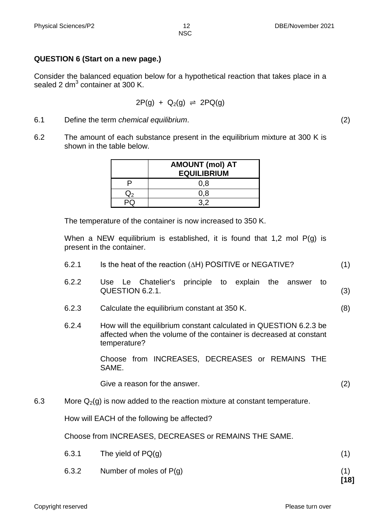# **QUESTION 6 (Start on a new page.)**

Consider the balanced equation below for a hypothetical reaction that takes place in a sealed 2 dm $^3$  container at 300 K.

$$
2P(g) + Q_2(g) \rightleftharpoons 2PQ(g)
$$

- 6.1 Define the term *chemical equilibrium*. (2)
- 6.2 The amount of each substance present in the equilibrium mixture at 300 K is shown in the table below.

| <b>AMOUNT (mol) AT</b><br><b>EQUILIBRIUM</b> |
|----------------------------------------------|
| 0,8                                          |
| 0.8                                          |
|                                              |

The temperature of the container is now increased to 350 K.

When a NEW equilibrium is established, it is found that 1,2 mol P(g) is present in the container.

- 6.2.1 Is the heat of the reaction  $(\Delta H)$  POSITIVE or NEGATIVE? (1)
- 6.2.2 Use Le Chatelier's principle to explain the answer to QUESTION 6.2.1. (3)
- 6.2.3 Calculate the equilibrium constant at 350 K. (8)
- 6.2.4 How will the equilibrium constant calculated in QUESTION 6.2.3 be affected when the volume of the container is decreased at constant temperature?

Choose from INCREASES, DECREASES or REMAINS THE SAME.

Give a reason for the answer. (2)

6.3 More  $Q_2(g)$  is now added to the reaction mixture at constant temperature.

How will EACH of the following be affected?

Choose from INCREASES, DECREASES or REMAINS THE SAME.

| 6.3.1 | The yield of $PQ(q)$      |  |
|-------|---------------------------|--|
| 6.3.2 | Number of moles of $P(g)$ |  |

**[18]**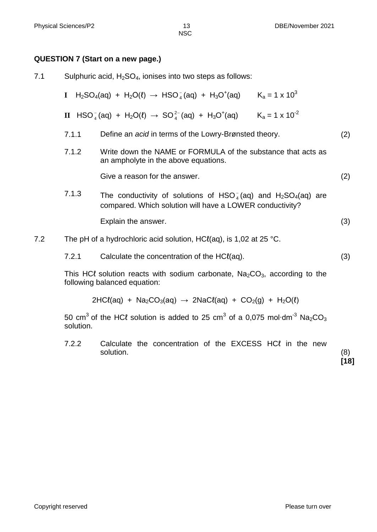#### **QUESTION 7 (Start on a new page.)**

7.1 Sulphuric acid,  $H_2SO_4$ , ionises into two steps as follows:

$$
I \quad H_2SO_4(aq) + H_2O(l) \rightarrow HSO_4^-(aq) + H_3O^+(aq) \qquad K_a = 1 \times 10^3
$$

- $\mathbf{II}$  HSO $_4^ _{\rm 4}^{+}$ (aq) + H<sub>2</sub>O( $\ell$ )  $\rightarrow$  SO $_{\rm 4}^{2-}$  $_{4}^{2-}$ (aq) + H<sub>3</sub>O<sup>+</sup>(aq) K<sub>a</sub> = 1 x 10<sup>-2</sup>
- 7.1.1 Define an *acid* in terms of the Lowry-Brønsted theory. (2)
- 7.1.2 Write down the NAME or FORMULA of the substance that acts as an ampholyte in the above equations.

Give a reason for the answer. (2)

7.1.3 The conductivity of solutions of HSO $_4^ _4^-$ (aq) and  $H_2$ SO<sub>4</sub>(aq) are compared. Which solution will have a LOWER conductivity?

Explain the answer. (3)

- 7.2 The pH of a hydrochloric acid solution, HC $\ell$ (aq), is 1,02 at 25 °C.
	- 7.2.1 Calculate the concentration of the HCℓ(aq). (3)

This HC $\ell$  solution reacts with sodium carbonate,  $Na<sub>2</sub>CO<sub>3</sub>$ , according to the following balanced equation:

$$
2HCl(aq) + Na2CO3(aq) \rightarrow 2NaCl(aq) + CO2(g) + H2O(l)
$$

50 cm<sup>3</sup> of the HCℓ solution is added to 25 cm<sup>3</sup> of a 0,075 mol·dm<sup>-3</sup> Na<sub>2</sub>CO<sub>3</sub> solution.

7.2.2 Calculate the concentration of the EXCESS HCl in the new solution. (8)

**[18]**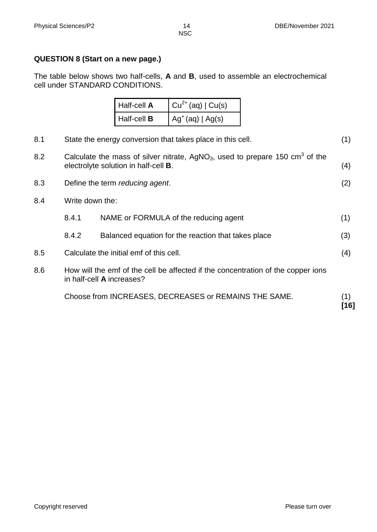#### **QUESTION 8 (Start on a new page.)**

The table below shows two half-cells, **A** and **B**, used to assemble an electrochemical cell under STANDARD CONDITIONS.

| Half-cell A        | $\int Cu^{2+}(aq)   Cu(s)$          |
|--------------------|-------------------------------------|
| Half-cell <b>B</b> | $\int$ Ag <sup>+</sup> (aq)   Ag(s) |

|     |                                                                                                                                                             | Choose from INCREASES, DECREASES or REMAINS THE SAME. | (1)<br>[16] |
|-----|-------------------------------------------------------------------------------------------------------------------------------------------------------------|-------------------------------------------------------|-------------|
| 8.6 | How will the emf of the cell be affected if the concentration of the copper ions<br>in half-cell A increases?                                               |                                                       |             |
| 8.5 | Calculate the initial emf of this cell.                                                                                                                     |                                                       | (4)         |
|     | 8.4.2                                                                                                                                                       | Balanced equation for the reaction that takes place   | (3)         |
|     | 8.4.1                                                                                                                                                       | NAME or FORMULA of the reducing agent                 | (1)         |
| 8.4 | Write down the:                                                                                                                                             |                                                       |             |
| 8.3 |                                                                                                                                                             | Define the term reducing agent.                       | (2)         |
| 8.2 | Calculate the mass of silver nitrate, AgNO <sub>3</sub> , used to prepare 150 cm <sup>3</sup> of the<br>electrolyte solution in half-cell <b>B</b> .<br>(4) |                                                       |             |
| 8.1 | (1)<br>State the energy conversion that takes place in this cell.                                                                                           |                                                       |             |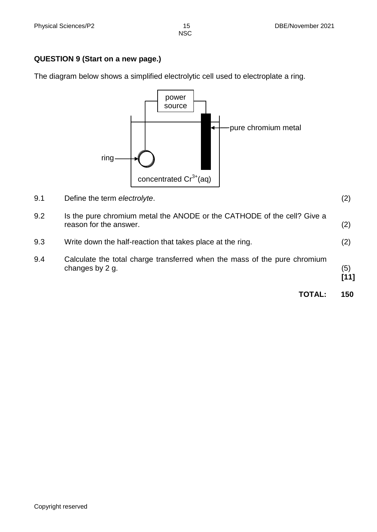## **QUESTION 9 (Start on a new page.)**

The diagram below shows a simplified electrolytic cell used to electroplate a ring.



9.1 Define the term *electrolyte*. (2)

| 9.2 | Is the pure chromium metal the ANODE or the CATHODE of the cell? Give a<br>reason for the answer. | (2) |
|-----|---------------------------------------------------------------------------------------------------|-----|
| 9.3 | Write down the half-reaction that takes place at the ring.                                        | (2) |
| 9.4 | Calculate the total charge transferred when the mass of the pure chromium<br>changes by 2 g.      | (5) |

| ×<br>۰. |  |
|---------|--|
| I       |  |
|         |  |

| <b>TOTAL:</b> | 150 |
|---------------|-----|
|               |     |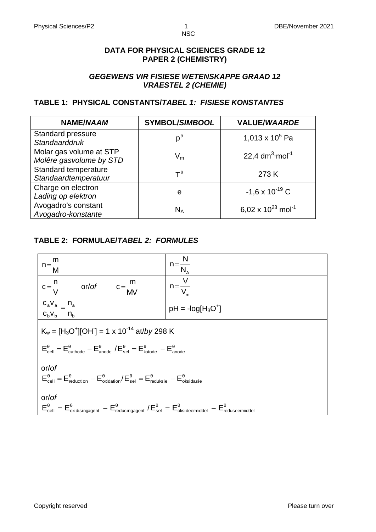#### **DATA FOR PHYSICAL SCIENCES GRADE 12 PAPER 2 (CHEMISTRY)**

## *GEGEWENS VIR FISIESE WETENSKAPPE GRAAD 12 VRAESTEL 2 (CHEMIE)*

## **TABLE 1: PHYSICAL CONSTANTS/***TABEL 1: FISIESE KONSTANTES*

| <b>NAME/NAAM</b>                                   | <b>SYMBOL/SIMBOOL</b>                | <b>VALUE/WAARDE</b>                |
|----------------------------------------------------|--------------------------------------|------------------------------------|
| Standard pressure<br>Standaarddruk                 | $p^{\theta}$                         | 1,013 x $10^5$ Pa                  |
| Molar gas volume at STP<br>Molêre gasvolume by STD | $\mathsf{V}_{\mathsf{m}}$            | 22,4 $dm^3$ ·mol <sup>-1</sup>     |
| Standard temperature<br>Standaardtemperatuur       | $\mathsf{T}^{\hspace{0.01in}\theta}$ | 273K                               |
| Charge on electron<br>Lading op elektron           | e                                    | $-1,6 \times 10^{-19}$ C           |
| Avogadro's constant<br>Avogadro-konstante          | $N_A$                                | 6,02 x $10^{23}$ mol <sup>-1</sup> |

## **TABLE 2: FORMULAE/***TABEL 2: FORMULES*

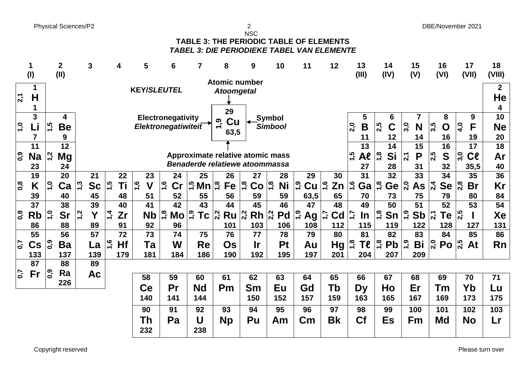Physical Sciences/P2 2 DBE/November 2021

| i      |  |
|--------|--|
| I<br>٠ |  |

#### NSC **TABLE 3: THE PERIODIC TABLE OF ELEMENTS** *TABEL 3: DIE PERIODIEKE TABEL VAN ELEMENTE*

|                         | 1<br>(1)       |                  | $\overline{2}$<br>(II) |            | 3         |               | 4         | 5                             | 6             |               | 7                           | 8                                   | 9              | 10             | 11                     | 12                  | 13<br>(III)                        | 14<br>(IV)          | 15<br>(V)                     | 16<br>(VI)           | 17<br>(VII)                 | 18<br>(VIII)            |
|-------------------------|----------------|------------------|------------------------|------------|-----------|---------------|-----------|-------------------------------|---------------|---------------|-----------------------------|-------------------------------------|----------------|----------------|------------------------|---------------------|------------------------------------|---------------------|-------------------------------|----------------------|-----------------------------|-------------------------|
|                         |                |                  |                        |            |           |               |           |                               |               |               |                             | <b>Atomic number</b>                |                |                |                        |                     |                                    |                     |                               |                      |                             |                         |
| $\overline{2}$          | 1<br>H<br>1    |                  |                        |            |           |               |           | <b>KEY/SLEUTEL</b>            |               |               |                             | <b>Atoomgetal</b>                   |                |                |                        |                     |                                    |                     |                               |                      |                             | $\mathbf{2}$<br>He<br>4 |
|                         | $\mathbf{3}$   |                  | 4                      |            |           |               |           | Electronegativity             |               |               |                             | 29                                  |                | <b>Symbol</b>  |                        |                     | 5                                  | 6                   |                               | 8                    | 9                           | 10                      |
| $\overline{1,0}$        | Li             | $\overline{1,5}$ | <b>Be</b>              |            |           |               |           | Elektronegatiwiteit           |               |               |                             | Cu<br>Ö۳                            |                | <b>Simbool</b> |                        |                     | $\overline{2,0}$<br>B              | 2,5<br>$\mathbf C$  | 3,0<br>N                      | 3,5<br>$\mathbf O$   | $\overline{a}$<br>F         | <b>Ne</b>               |
|                         |                |                  |                        |            |           |               |           |                               |               |               |                             | 63,5                                |                |                |                        |                     |                                    |                     |                               |                      |                             |                         |
|                         | $\overline{7}$ |                  | 9                      |            |           |               |           |                               |               |               |                             |                                     |                |                |                        |                     | 11                                 | 12                  | 14                            | 16                   | 19                          | 20                      |
|                         | 11             |                  | $\overline{12}$        |            |           |               |           |                               |               |               |                             |                                     |                |                |                        |                     | 13                                 | 14                  | 15                            | 16                   | 17                          | 18                      |
| ြို့                    | <b>Na</b>      | $\overline{1,2}$ | Mg                     |            |           |               |           |                               |               |               |                             | Approximate relative atomic mass    |                |                |                        |                     | $-1,5$<br>$A$ e                    | $\ddot{a}$<br>Si    | P<br>21<br>2                  | 2,5<br>S             | 3,0<br>C <sub>l</sub>       | Ar                      |
|                         | 23             |                  | 24                     |            |           |               |           |                               |               |               |                             | Benaderde relatiewe atoommassa      |                |                |                        |                     | 27                                 | 28                  | 31                            | 32                   | 35,5                        | 40                      |
|                         | 19             |                  | 20                     |            | 21        |               | 22        | 23                            |               | 24            | 25                          | 26                                  | 27             | 28             | 29                     | 30                  | 31                                 | 32                  | 33                            | 34                   | 35                          | 36                      |
| $\overline{\mathbf{0}}$ | Κ              | $\overline{1}$   | Ca                     | <u>ე</u>   | <b>Sc</b> | 1,5           | Τi        | $\frac{6}{1}$<br>$\mathsf{V}$ | $\frac{6}{1}$ | $\mathsf{Cr}$ | $\frac{16}{5}$ Mn           | $\frac{8}{1}$<br>Fe                 | 1,8<br>Co      | 1,8<br>Ni      | $\ddot{ }$<br>Cu       | $\frac{6}{1}$<br>Zn | 1,6<br>Ga                          | $\frac{8}{1}$<br>Ge | 2,0<br>As                     | 2,4<br><b>Se</b>     | $\overline{a}$<br><b>Br</b> | Kr                      |
|                         | 39             |                  | 40                     |            | 45        |               | 48        | 51                            |               | 52            | 55                          | 56                                  | 59             | 59             | 63,5                   | 65                  | 70                                 | 73                  | 75                            | 79                   | 80                          | 84                      |
|                         | 37             |                  | 38                     |            | 39        |               | 40        | 41                            |               | 42            | 43                          | 44                                  | 45             | 46             | 47                     | 48                  | 49                                 | 50                  | 51                            | 52                   | 53                          | 54                      |
|                         |                | $\ddot{ }$       |                        |            | Y         |               |           |                               |               |               |                             |                                     |                |                |                        |                     |                                    |                     |                               |                      |                             |                         |
| $\overline{0,8}$        | <b>Rb</b>      |                  | <b>Sr</b>              | $\ddot{a}$ |           | नें<br>न      | Zr        | <b>Nb</b>                     | $\frac{8}{1}$ | Mo            | 6 <sup>1</sup><br><b>Tc</b> | $Ru \vert^{\alpha}_{\alpha}$<br>2,2 | Rh             | 2,2<br>Pd      | $\overline{1,0}$<br>Ag | C <sub>d</sub>      | $\mathbf{1}^{\prime}$<br><u>In</u> | 1,8<br>Sn           | $\ddot{6}$<br><b>Sb</b>       | 2,1<br>Te            |                             | Xe                      |
|                         | 86             |                  | 88                     |            | 89        |               | 91        | 92                            |               | 96            |                             | 101                                 | 103            | 106            | 108                    | 112                 | 115                                | 119                 | 122                           | 128                  | 127                         | 131                     |
|                         | 55             |                  | 56                     |            | 57        |               | 72        | 73                            |               | 74            | 75                          | 76                                  | 77             | 78             | 79                     | 80                  | 81                                 | 82                  | 83                            | 84                   | 85                          | 86                      |
| $\overline{0}$          | $\mathsf{Cs}$  | $\overline{0,0}$ | Ba                     |            | La        | <u>ي</u><br>= | <b>Hf</b> | Ta                            |               | W             | <b>Re</b>                   | Os                                  | <b>Ir</b>      | Pt             | Au                     | Hg                  | 1,8<br><b>Te</b>                   | $\frac{8}{1}$<br>Pb | $\ddot{ }$ , $\ddot{ }$<br>Bi | $\overline{a}$<br>Po | $\overline{2,5}$<br>At      | Rn                      |
|                         | 133            |                  | 137                    |            | 139       |               | 179       | 181                           |               | 184           | 186                         | 190                                 | 192            | 195            | 197                    | 201                 | 204                                | 207                 | 209                           |                      |                             |                         |
|                         | 87             |                  | 88                     |            | 89        |               |           |                               |               |               |                             |                                     |                |                |                        |                     |                                    |                     |                               |                      |                             |                         |
| $\overline{0}$          | Fr             | $\overline{0,0}$ | Ra                     |            | <b>Ac</b> |               |           |                               |               |               |                             |                                     |                |                |                        |                     |                                    |                     |                               |                      |                             |                         |
|                         |                |                  | 226                    |            |           |               |           | 58                            | 59            |               | 60                          | 61                                  | 62             | 63             | 64                     | 65                  | 66                                 | 67                  | 68                            | 69                   | 70                          | 71                      |
|                         |                |                  |                        |            |           |               |           | Ce                            | Pr            |               | <b>Nd</b>                   | Pm                                  | S <sub>m</sub> | Eu             | Gd                     | Tb                  | <b>Dy</b>                          | Ho                  | Er                            | Tm                   | Yb                          | Lu                      |
|                         |                |                  |                        |            |           |               |           | 140                           | 141           |               | 144                         |                                     | 150            | 152            | 157                    | 159                 | 163                                | 165                 | 167                           | 169                  | 173                         | 175                     |
|                         |                |                  |                        |            |           |               |           | 90                            | 91            |               | 92                          | 93                                  | 94             | 95             | 96                     | 97                  | 98                                 | 99                  | 100                           | 101                  | 102                         | 103                     |
|                         |                |                  |                        |            |           |               |           | Th                            | Pa            |               | U                           | <b>Np</b>                           | Pu             | Am             | $\mathsf{Cm}$          | <b>Bk</b>           | Cf                                 | Es                  | Fm                            | Md                   | <b>No</b>                   | Lr                      |
|                         |                |                  |                        |            |           |               |           | 232                           |               |               | 238                         |                                     |                |                |                        |                     |                                    |                     |                               |                      |                             |                         |
|                         |                |                  |                        |            |           |               |           |                               |               |               |                             |                                     |                |                |                        |                     |                                    |                     |                               |                      |                             |                         |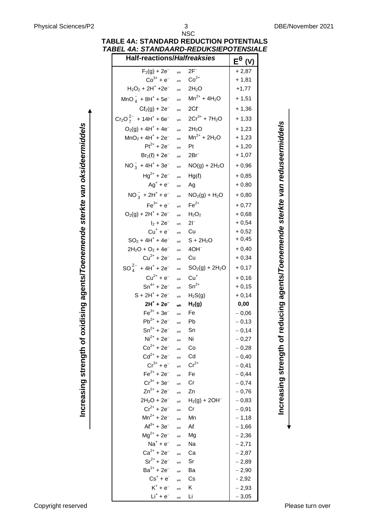**Increasing strength of reducing agents/***Toenemende sterkte van reduseermiddels*

Increasing strength of reducing agents/Toenemende sterkte van reduseermiddels

**Increasing strength of oxidising agents/***Toenemende sterkte van oksideermiddels*

Increasing strength of oxidising agents/Toenemende sterkte van oksideermiddels

| ABEL 4A: STANDAARD-REDUKSIEPOTENSIAL`<br><b>Half-reactions/Halfreaksies</b> |               |                    |                                    |
|-----------------------------------------------------------------------------|---------------|--------------------|------------------------------------|
|                                                                             |               |                    | $\mathsf{E}^{\boldsymbol{\theta}}$ |
| $F_2(g) + 2e^-$                                                             | $\Rightarrow$ | $2F^-$             | $+2,87$                            |
| $Co^{3+} + e^{-}$                                                           | $\Rightarrow$ | $Co2+$             | $+1,81$                            |
| $H_2O_2 + 2H^+ + 2e^-$                                                      | $\Rightarrow$ | 2H <sub>2</sub> O  | $+1,77$                            |
| $MnO_4^- + 8H^+ + 5e^-$                                                     | $\Rightarrow$ | $Mn^{2+} + 4H_2O$  | $+1,51$                            |
| $C\ell_2(g) + 2e^-$                                                         | $\Rightarrow$ | $2Cf^-$            | $+1,36$                            |
| $Cr_2O_7^{2-}$ + 14H <sup>+</sup> + 6e <sup>-</sup>                         | $\Rightarrow$ | $2Cr^{3+} + 7H_2O$ | $+1,33$                            |
| $O_2(g) + 4H^+ + 4e^-$                                                      | $\Rightarrow$ | 2H <sub>2</sub> O  | $+1,23$                            |
| $MnO2 + 4H+ + 2e-$                                                          | $\Rightarrow$ | $Mn^{2+} + 2H_2O$  | $+1,23$                            |
| $Pt^{2+} + 2e^{-}$                                                          | $\Rightarrow$ | Pt                 | $+1,20$                            |
| $Br_2(\ell) + 2e^-$                                                         | $\Rightarrow$ | $2Br^-$            | $+1,07$                            |
| $NO_3^- + 4H^+ + 3e^-$                                                      | $\Rightarrow$ | $NO(g) + 2H_2O$    | $+0,96$                            |
| $Hg^{2+}$ + 2e <sup>-</sup>                                                 | $\Rightarrow$ | $Hg(\ell)$         | $+0,85$                            |
| $Ag^+ + e^-$                                                                | $\Rightarrow$ | Ag                 | $+0,80$                            |
| $NO_3^- + 2H^+ + e^-$                                                       | $\Rightarrow$ | $NO2(g) + H2O$     | $+0,80$                            |
| $Fe^{3+} + e^{-}$                                                           | $\Rightarrow$ | $Fe2+$             | $+0,77$                            |
| $O_2(q) + 2H^+ + 2e^-$                                                      | $\Rightarrow$ | $H_2O_2$           | $+0,68$                            |
| $I_2 + 2e^-$                                                                | $\Rightarrow$ | $21^{-}$           | $+0,54$                            |
| $Cu+ + e-$                                                                  | $\Rightarrow$ | Cu                 | $+0,52$                            |
| $SO_2 + 4H^+ + 4e^-$                                                        | $\Rightarrow$ | $S + 2H2O$         | $+0,45$                            |
| $2H_2O + O_2 + 4e^-$                                                        | $\Rightarrow$ | $4OH-$             | $+0,40$                            |
| $Cu^{2+} + 2e^{-}$                                                          | $\Rightarrow$ | Cu                 | $+0,34$                            |
| $SO_4^{2-}$ + 4H <sup>+</sup> + 2e <sup>-</sup>                             | $\Rightarrow$ | $SO2(g) + 2H2O$    | $+0,17$                            |
| $Cu^{2+} + e^{-}$                                                           | $\Rightarrow$ | $Cu+$              | $+0,16$                            |
| $Sn^{4+} + 2e^{-}$                                                          | $\Rightarrow$ | $Sn^{2+}$          | $+0,15$                            |
| $S + 2H^{+} + 2e^{-}$                                                       | $\Rightarrow$ | $H_2S(g)$          | $+0,14$                            |
| $2H^{+}$ + 2e <sup>-</sup>                                                  | $\Rightarrow$ | $H_2(g)$           | 0,00                               |
| $Fe^{3+} + 3e^{-}$                                                          | $\Rightarrow$ | Fe                 | $-0,06$                            |
| $Pb^{2+} + 2e^{-}$                                                          | $\Rightarrow$ | Pb                 | $-0,13$                            |
| $\text{Sn}^{2+}$ + 2e                                                       | $\Rightarrow$ | Sn                 | $-0,14$                            |
| $Ni2+ + 2e-$                                                                | $\Rightarrow$ | Ni                 | $-0,27$                            |
| $Co^{2+} + 2e^{-}$                                                          | $\Rightarrow$ | Co                 | $-0,28$                            |
| $Cd^{2+} + 2e^{-}$                                                          | $\Rightarrow$ | Cd                 | $-0,40$                            |
| $Cr^{3+} + e^{-}$                                                           | $\Rightarrow$ | $Cr^{2+}$          | $-0,41$                            |
| $Fe^{2+} + 2e^{-}$                                                          | $\Rightarrow$ | Fe                 | $-0,44$                            |
| $Cr^{3+} + 3e^{-}$                                                          | $\Rightarrow$ | Cr                 | $-0,74$                            |
| $Zn^{2+} + 2e^{-}$                                                          | $\Rightarrow$ | Zn                 | $-0,76$                            |
| $2H_2O + 2e^-$                                                              | $\Rightarrow$ | $H_2(g) + 2OH^-$   | $-0,83$                            |
| $Cr^{2+} + 2e^{-}$                                                          | $\Rightarrow$ | Cr                 | $-0,91$                            |
| $Mn^{2+} + 2e^{-}$                                                          | $\Rightarrow$ | Mn                 | $-1,18$                            |
| $Al^{3+} + 3e^{-}$                                                          | $\Rightarrow$ | Al                 | $-1,66$                            |
| $Mg^{2+} + 2e^{-}$                                                          | $\Rightarrow$ | Mg                 | $-2,36$                            |
| $Na+ + e-$                                                                  | $\Rightarrow$ | Na                 | $-2,71$                            |
| $Ca^{2+} + 2e^{-}$<br>$Sr^{2+} + 2e^{-}$                                    | $\Rightarrow$ | Ca                 | $-2,87$                            |
| $Ba^{2+} + 2e^{-}$                                                          | $\Rightarrow$ | Sr                 | $-2,89$                            |
| $Cs^+ + e^-$                                                                | $\Rightarrow$ | Ba                 | $-2,90$                            |
| $K^+ + e^-$                                                                 | $\Rightarrow$ | Cs<br>Κ            | $-2,92$                            |
|                                                                             | $\Rightarrow$ |                    | $-2,93$                            |

 $Li<sup>+</sup> + e<sup>-</sup>$ 

 $\Rightarrow$  Li  $-3,05$ 

#### NSC **TABLE 4A: STANDARD REDUCTION POTENTIALS** *TABEL 4A: STANDAARD-REDUKSIEPOTENSIALE*